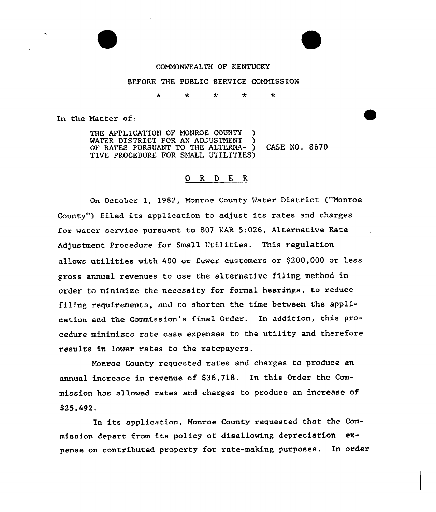

#### BEFORE THE PUBLIC SERVICE COMMISSION

 $\star$ ÷  $\star$ ÷  $\star$ 

In the Natter of:

THE APPLICATION OF MONROE COUNTY WATER DISTRICT FOR AN ADJUSTMENT OF RATES PURSUANT TO THE ALTERNA- ) CASE NO. 8670 TIVE PROCEDURE FOR SMALL UTILITIES)

# 0 R <sup>D</sup> E R

On October 1, l982, Monroe County Mater District ("Monroe County") filed its application to adjust its rates and charges for water service pursuant to 807 KAR 5:026, Alternative Rate Adjustment Procedure for Small Utilities. This regulation allows utilities with 400 or fewer customers or \$200,000 or less gross annual revenues to use the alternative filing method in order to minimize the necessity for formal hearings, to reduce filing requirements, and to shorten the time between the application and the Commission's final Ordez. In addition, this procedure minimizes rate case expenses to the utility and therefore results in lower rates to the ratepayers.

Monroe County requested rates and charges to produce an annual increase in revenue of \$36,718. In this Order the Commission has allowed rates and charges to produce an increase of \$25,492,

In its application, Monroe County requested that the Commission depart from its policy of disallowing depreciation expense on contributed property for rate-making purposes. In order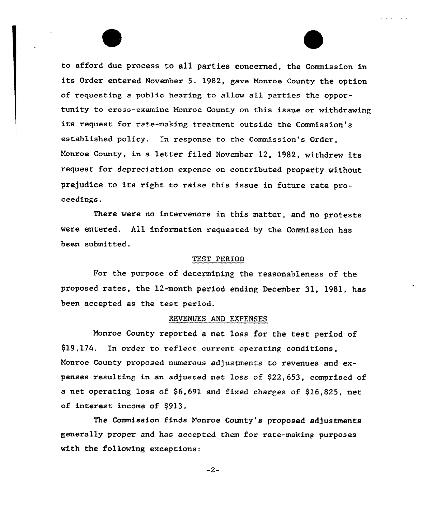to afford due process to all parties concerned, the Commission in its Order entered November 5, 1982, gave Monroe County the option of requesting a public hearing to allow all parties the opportunity to cross-examine Monroe County on this issue or withdrawing its request for rate-making treatment outside the Commission's established policy. In response to the Commission's Order, Monroe County, in a letter filed November 12, 1982, withdrew its request for depreciation expense on contributed property without prejudice to its right to raise this issue in future rate proceedings.

There were no intervenors in this matter, and no protests vere entered. A11 information requested by the Commission has been submitted.

# TEST PERIOD

For the purpose of determining the reasonableness of the proposed rates, the 12-month period ending December 31, 1981, has been accepted as the test period.

## REVENUES AND EXPENSES

Monroe County reported a net loss for the test period of \$19,174. In order to reflect current operatiny. conditions, Monroe County proposed numerous adjustments to revenues and expenses resulting in an adjusted net loss of \$22,653, comprised of a net operating loss of \$6,691 and fixed charges of \$16,825, net of interest income of \$913.

The Commission finds monroe County's proposed adjustments generally proper and has accepted them for rate-making purposes with the following exceptions:

 $-2-$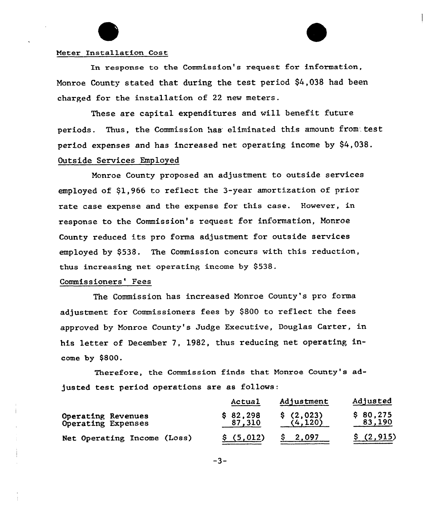## Meter Installation Cost

In response to the Commission's request for information, Monroe County stated that during the test period \$4,038 had been charged for the installation of 22 new meters.

These are capital expenditures and will benefit future periods. Thus, the Commission has eliminated this amount from test period expenses and has increased net operating income by \$4,038. Outside Services Employed

Monroe County proposed an adjustment to outside services employed of \$1,966 to reflect the 3-year amortization of prior rate case expense and the expense for this case. However, in response to the Commission's request for information, Monroe County reduced its pro forma adjustment for outside services employed by \$538. The Commission concurs with this reduction, thus increasing net operating income by \$538.

#### Commissioners' Fees

The Commission has increased Nonroe County's pro forma adjustment for Commissioners fees by \$800 to reflect the fees approved by monroe County's Judge Executive, Douglas Carter, in his letter of December 7, 1982, thus reducing net operating income by \$800.

Therefore, the Commission finds that Monroe County's adjusted test period operations are as follows:

|                                          | Actual             | Adjustment            | Adjusted           |
|------------------------------------------|--------------------|-----------------------|--------------------|
| Operating Revenues<br>Operating Expenses | \$82,298<br>87,310 | \$(2,023)<br>(4, 120) | \$80,275<br>83,190 |
| Net Operating Income (Loss)              | \$(5,012)          | 2.097                 | \$(2, 915)         |

 $-3-$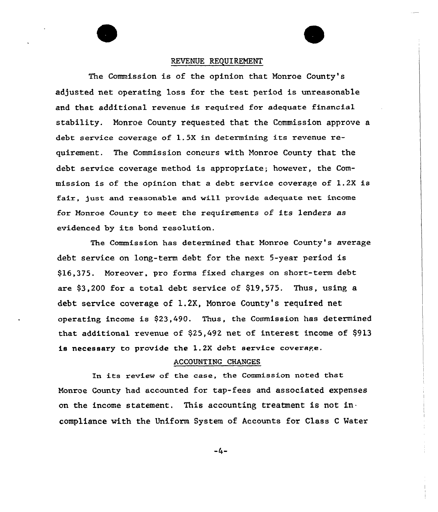#### REVENUE REQUIREMENT

The Commission is of the opinion that Monroe County's adjusted net operating loss for the test period is unreasonable and that additional revenue is required for adequate financial stability. Monroe County requested that the Commission approve a debt service coverage of 1.5K in determining its revenue requirement. The Commission concurs with Monroe County that the debt service coverage method is appropriate; however, the Commission is of the opinion that a debt service coverage of 1.2X is fair, just and reasonab1e and wi11 provide adequate net income fox Monroe County to meet the requirements of its lenders as evidenced by its bond resolution.

The Commission has determined that Monroe County's average debt service on long-term debt for the next 5-year period is \$16,375. Moreover, pro forma fixed charges on short-term debt are  $$3,200$  for a total debt service of  $$19,575$ . Thus, using a debt service covexage of 1.2X, Monroe County's required net operating income is \$23,490. Thus, the Commission has determined that. additional revenue of \$25,492 net of interest income of \$913 is necessary to provide the 1.2X debt service coverage.

#### ACCOUNTING CHANGES

In its review af the case, the Commission noted that Nonroe County had accounted for tap-fees and associated expenses on the income statement. This accounting treatment is not incompliance with the Uniform System of Accounts for Class <sup>C</sup> Water

 $-4-$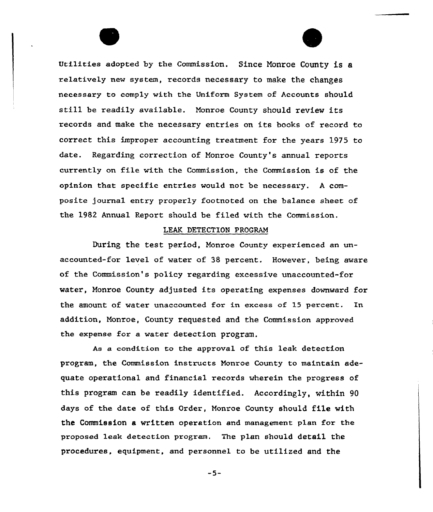Utilities adopted by the Commission. Since Nonroe County is a relatively new system, records necessary to make the changes necessary to comply with the Uniform System of Accounts should still be readily available. Nonroe County should review its records and make the necessary entries on its books of record to correct this improper accounting treatment for the years 1975 to date. Regarding correction of Monroe County's annual reports currently on file with the Commission, the Commission is of the opinion that specific entries would not be necessary. <sup>A</sup> composite journal entry properly footnoted on the balance sheet of the l982 Annual Report should be filed with the Commission.

#### LEAK DETECTION PROGRAM

During the test period, Monroe County experienced an unaccounted-for level of water of 38 percent. However, being aware of the Commission's policy regarding excessive unaccounted-for water, Monroe County adjusted its operating expenses downward for the amount of water unaccounted for in excess of 15 percent. In addition, Nonroe, County requested and the Commission approved the expense for a water detection program.

As a condition to the approval of this leak detection program, the Commission instructs Nonroe County to maintain adequate operational and financial records wherein the progress of this program can be readily identified. Accordingly, within 90 days of the date of this Order, Monroe County should file with the Commission a written operation and management plan for the proposed leak detection program. The plan should detail the procedures, equipment, and personnel to be utilized and the

 $-5-$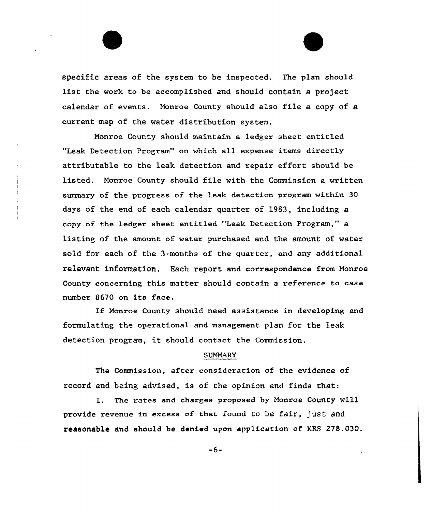specific areas of the system to be inspected. The plan should list the work to be accomplished and should contain a project calendar of events. Monroe County should also file a copy of a current map of the water distribution system.

Monroe County should maintain a ledger sheet entitled "Leak Detection Program" on which all expense items directly attributable to the leak detection and repair effort should be listed. Monroe County should file with the Commission a written summary of the pxogress of the leak detection pxogxam within 30 days of the end of each calendar quarter of 1983, including a copy of the ledger sheet entitled "Leak Detection Program," a listing of the amount of watex puxchased and the amount of water sold for each of the 3 months of the quaxter, and any additional relevant information. Each report and correspondence from Monroe County concerning this matter should contain a reference to case number 8670 on its face.

If Monroe County should need assistance in developing and formulating the opexational and management plan for the leak detection program, it should contact the Commission.

## SUMMARY

The Commission, after consideration of the evidence of record and being advised, is of the opinion and finds that:

1. The rates and charges proposed by Monroe County will provide revenue in excess of that found to be fair, just and reasonable end should be denied upon application of KRS 278.030.

-6-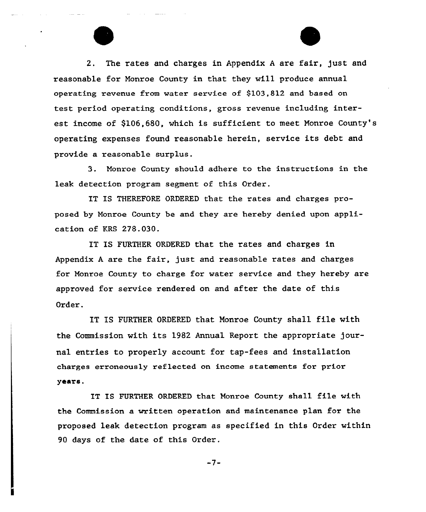2. The rates and charges in Appendix <sup>A</sup> are fair, just and reasonable for Monroe County in that they will produce annual operating revenue from water service of \$103,812 and based on test period operating conditions, gross revenue including interest income of \$106,680, which is sufficient to meet Monroe County's operating expenses found reasonable herein, service its debt and provide a reasonable surplus.

3 <sup>~</sup> Monroe County should adhere to the instructions in the leak detection program segment of this Order.

IT IS THEREFORE ORDERED that the rates and charges proposed by Monroe County be and they are hereby denied upon application of KRS 278.030.

IT IS FURTHER ORDERED that the rates and charges in Appendix <sup>A</sup> are the fair, just and reasonable rates and charges for Monroe County to charge for water service and they hereby are approved for service rendered on and after the date of this Order.

IT IS FURTHER ORDERED that Monroe County shall file with the Commission with its 1982 Annual Report the appropriate journal entries to properly account for tap-fees and installation charges erroneously reflected on income statements for prior years.

IT IS FURTHER ORDERED that Monroe County shall file with the Commission a written operation and maintenance plan for the proposed leak detection program as specified in this Order within 90 days of the date of this Order.

 $-7-$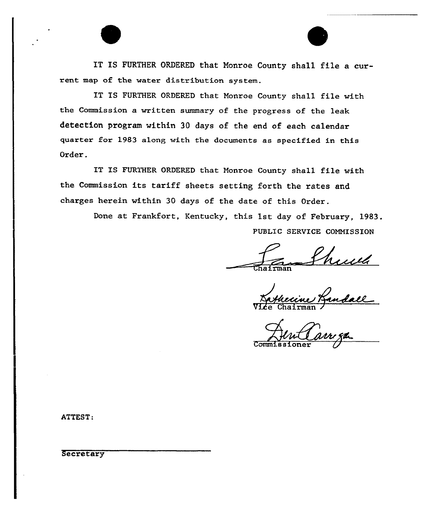IT IS FURTHER ORDERED that Monroe County shall file a current map of the water distribution system.

IT IS FURTHER ORDERED that Monroe County shall file with the Commission a written summary of the progress of the leak detection program within 30 days of the end of each calendar quarter for 1983 along with the documents as specified in this Order.

IT IS FURTHER ORDERED that Nonroe County shall file with the Commission its tariff sheets setting forth the rates and charges herein within 30 days of the date of this Order.

> Done at Frankfort, Kentucky, this 1st day of February, 1983. PUBLIC SERVICE COMMISSION

hull

1 Anndall

Commissione

ATTEST:

**Secretary**